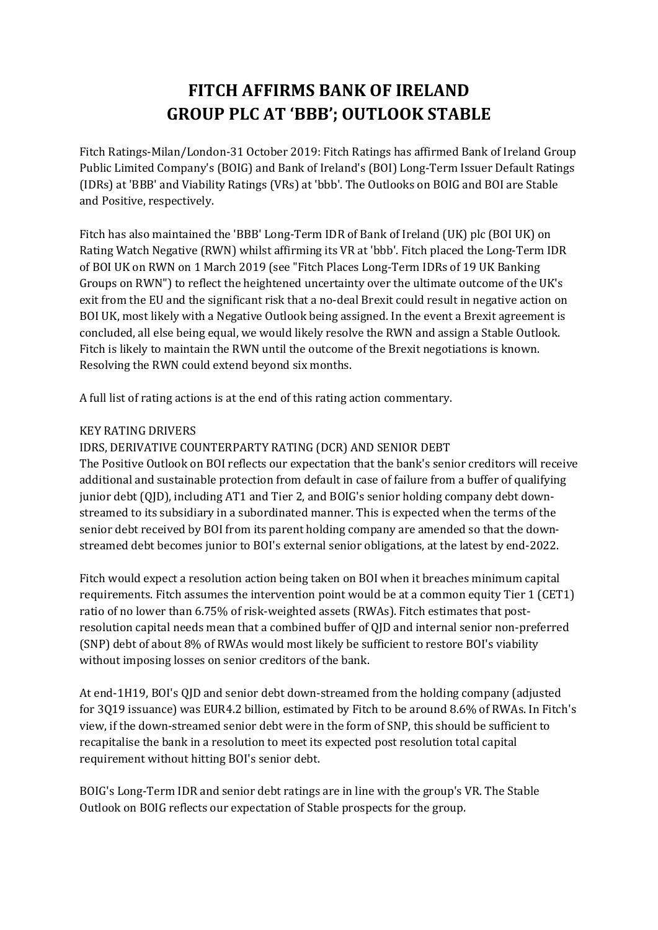# **FITCH AFFIRMS BANK OF IRELAND GROUP PLC AT 'BBB'; OUTLOOK STABLE**

Fitch Ratings-Milan/London-31 October 2019: Fitch Ratings has affirmed Bank of Ireland Group Public Limited Company's (BOIG) and Bank of Ireland's (BOI) Long-Term Issuer Default Ratings (IDRs) at 'BBB' and Viability Ratings (VRs) at 'bbb'. The Outlooks on BOIG and BOI are Stable and Positive, respectively.

Fitch has also maintained the 'BBB' Long-Term IDR of Bank of Ireland (UK) plc (BOI UK) on Rating Watch Negative (RWN) whilst affirming its VR at 'bbb'. Fitch placed the Long-Term IDR of BOI UK on RWN on 1 March 2019 (see "Fitch Places Long-Term IDRs of 19 UK Banking Groups on RWN") to reflect the heightened uncertainty over the ultimate outcome of the UK's exit from the EU and the significant risk that a no-deal Brexit could result in negative action on BOI UK, most likely with a Negative Outlook being assigned. In the event a Brexit agreement is concluded, all else being equal, we would likely resolve the RWN and assign a Stable Outlook. Fitch is likely to maintain the RWN until the outcome of the Brexit negotiations is known. Resolving the RWN could extend beyond six months.

A full list of rating actions is at the end of this rating action commentary.

#### KEY RATING DRIVERS

### IDRS, DERIVATIVE COUNTERPARTY RATING (DCR) AND SENIOR DEBT

The Positive Outlook on BOI reflects our expectation that the bank's senior creditors will receive additional and sustainable protection from default in case of failure from a buffer of qualifying junior debt (QJD), including AT1 and Tier 2, and BOIG's senior holding company debt downstreamed to its subsidiary in a subordinated manner. This is expected when the terms of the senior debt received by BOI from its parent holding company are amended so that the downstreamed debt becomes junior to BOI's external senior obligations, at the latest by end-2022.

Fitch would expect a resolution action being taken on BOI when it breaches minimum capital requirements. Fitch assumes the intervention point would be at a common equity Tier 1 (CET1) ratio of no lower than 6.75% of risk-weighted assets (RWAs). Fitch estimates that postresolution capital needs mean that a combined buffer of QJD and internal senior non-preferred (SNP) debt of about 8% of RWAs would most likely be sufficient to restore BOI's viability without imposing losses on senior creditors of the bank.

At end-1H19, BOI's QJD and senior debt down-streamed from the holding company (adjusted for 3Q19 issuance) was EUR4.2 billion, estimated by Fitch to be around 8.6% of RWAs. In Fitch's view, if the down-streamed senior debt were in the form of SNP, this should be sufficient to recapitalise the bank in a resolution to meet its expected post resolution total capital requirement without hitting BOI's senior debt.

BOIG's Long-Term IDR and senior debt ratings are in line with the group's VR. The Stable Outlook on BOIG reflects our expectation of Stable prospects for the group.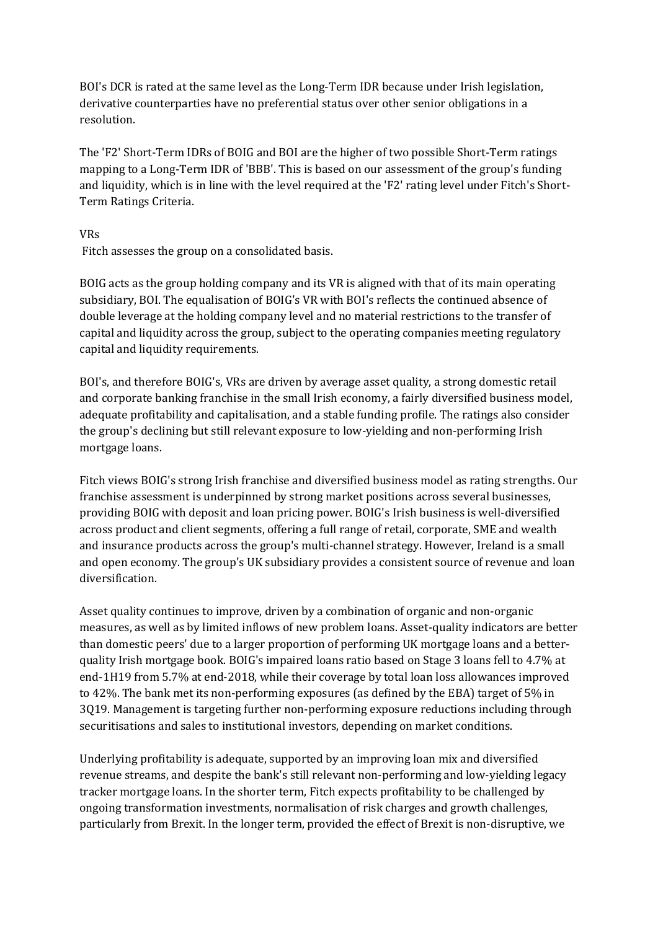BOI's DCR is rated at the same level as the Long-Term IDR because under Irish legislation, derivative counterparties have no preferential status over other senior obligations in a resolution.

The 'F2' Short-Term IDRs of BOIG and BOI are the higher of two possible Short-Term ratings mapping to a Long-Term IDR of 'BBB'. This is based on our assessment of the group's funding and liquidity, which is in line with the level required at the 'F2' rating level under Fitch's Short-Term Ratings Criteria.

#### VRs

Fitch assesses the group on a consolidated basis.

BOIG acts as the group holding company and its VR is aligned with that of its main operating subsidiary, BOI. The equalisation of BOIG's VR with BOI's reflects the continued absence of double leverage at the holding company level and no material restrictions to the transfer of capital and liquidity across the group, subject to the operating companies meeting regulatory capital and liquidity requirements.

BOI's, and therefore BOIG's, VRs are driven by average asset quality, a strong domestic retail and corporate banking franchise in the small Irish economy, a fairly diversified business model, adequate profitability and capitalisation, and a stable funding profile. The ratings also consider the group's declining but still relevant exposure to low-yielding and non-performing Irish mortgage loans.

Fitch views BOIG's strong Irish franchise and diversified business model as rating strengths. Our franchise assessment is underpinned by strong market positions across several businesses, providing BOIG with deposit and loan pricing power. BOIG's Irish business is well-diversified across product and client segments, offering a full range of retail, corporate, SME and wealth and insurance products across the group's multi-channel strategy. However, Ireland is a small and open economy. The group's UK subsidiary provides a consistent source of revenue and loan diversification.

Asset quality continues to improve, driven by a combination of organic and non-organic measures, as well as by limited inflows of new problem loans. Asset-quality indicators are better than domestic peers' due to a larger proportion of performing UK mortgage loans and a betterquality Irish mortgage book. BOIG's impaired loans ratio based on Stage 3 loans fell to 4.7% at end-1H19 from 5.7% at end-2018, while their coverage by total loan loss allowances improved to 42%. The bank met its non-performing exposures (as defined by the EBA) target of 5% in 3Q19. Management is targeting further non-performing exposure reductions including through securitisations and sales to institutional investors, depending on market conditions.

Underlying profitability is adequate, supported by an improving loan mix and diversified revenue streams, and despite the bank's still relevant non-performing and low-yielding legacy tracker mortgage loans. In the shorter term, Fitch expects profitability to be challenged by ongoing transformation investments, normalisation of risk charges and growth challenges, particularly from Brexit. In the longer term, provided the effect of Brexit is non-disruptive, we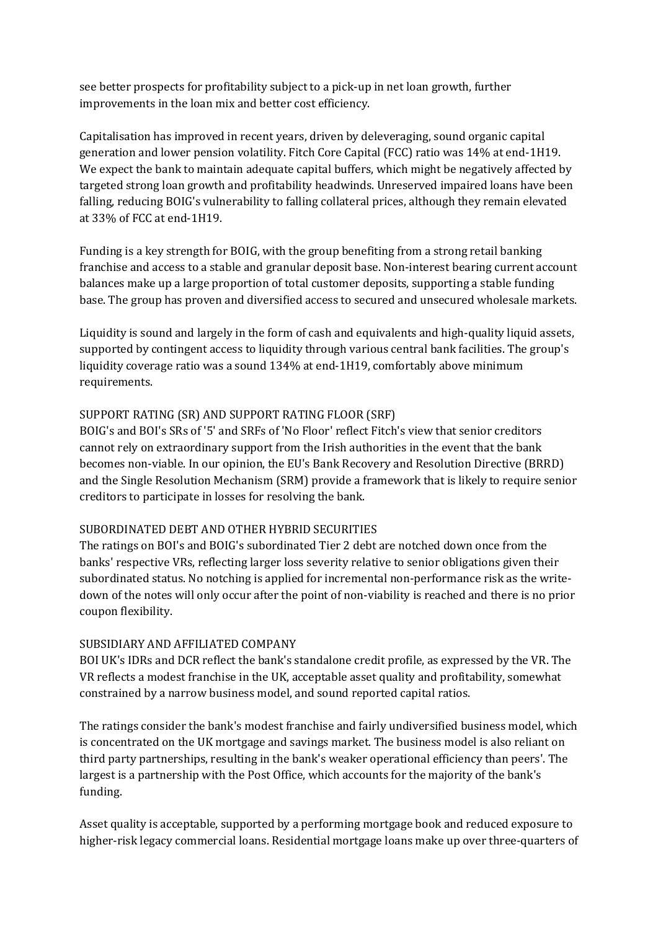see better prospects for profitability subject to a pick-up in net loan growth, further improvements in the loan mix and better cost efficiency.

Capitalisation has improved in recent years, driven by deleveraging, sound organic capital generation and lower pension volatility. Fitch Core Capital (FCC) ratio was 14% at end-1H19. We expect the bank to maintain adequate capital buffers, which might be negatively affected by targeted strong loan growth and profitability headwinds. Unreserved impaired loans have been falling, reducing BOIG's vulnerability to falling collateral prices, although they remain elevated at 33% of FCC at end-1H19.

Funding is a key strength for BOIG, with the group benefiting from a strong retail banking franchise and access to a stable and granular deposit base. Non-interest bearing current account balances make up a large proportion of total customer deposits, supporting a stable funding base. The group has proven and diversified access to secured and unsecured wholesale markets.

Liquidity is sound and largely in the form of cash and equivalents and high-quality liquid assets, supported by contingent access to liquidity through various central bank facilities. The group's liquidity coverage ratio was a sound 134% at end-1H19, comfortably above minimum requirements.

### SUPPORT RATING (SR) AND SUPPORT RATING FLOOR (SRF)

BOIG's and BOI's SRs of '5' and SRFs of 'No Floor' reflect Fitch's view that senior creditors cannot rely on extraordinary support from the Irish authorities in the event that the bank becomes non-viable. In our opinion, the EU's Bank Recovery and Resolution Directive (BRRD) and the Single Resolution Mechanism (SRM) provide a framework that is likely to require senior creditors to participate in losses for resolving the bank.

#### SUBORDINATED DEBT AND OTHER HYBRID SECURITIES

The ratings on BOI's and BOIG's subordinated Tier 2 debt are notched down once from the banks' respective VRs, reflecting larger loss severity relative to senior obligations given their subordinated status. No notching is applied for incremental non-performance risk as the writedown of the notes will only occur after the point of non-viability is reached and there is no prior coupon flexibility.

#### SUBSIDIARY AND AFFILIATED COMPANY

BOI UK's IDRs and DCR reflect the bank's standalone credit profile, as expressed by the VR. The VR reflects a modest franchise in the UK, acceptable asset quality and profitability, somewhat constrained by a narrow business model, and sound reported capital ratios.

The ratings consider the bank's modest franchise and fairly undiversified business model, which is concentrated on the UK mortgage and savings market. The business model is also reliant on third party partnerships, resulting in the bank's weaker operational efficiency than peers'. The largest is a partnership with the Post Office, which accounts for the majority of the bank's funding.

Asset quality is acceptable, supported by a performing mortgage book and reduced exposure to higher-risk legacy commercial loans. Residential mortgage loans make up over three-quarters of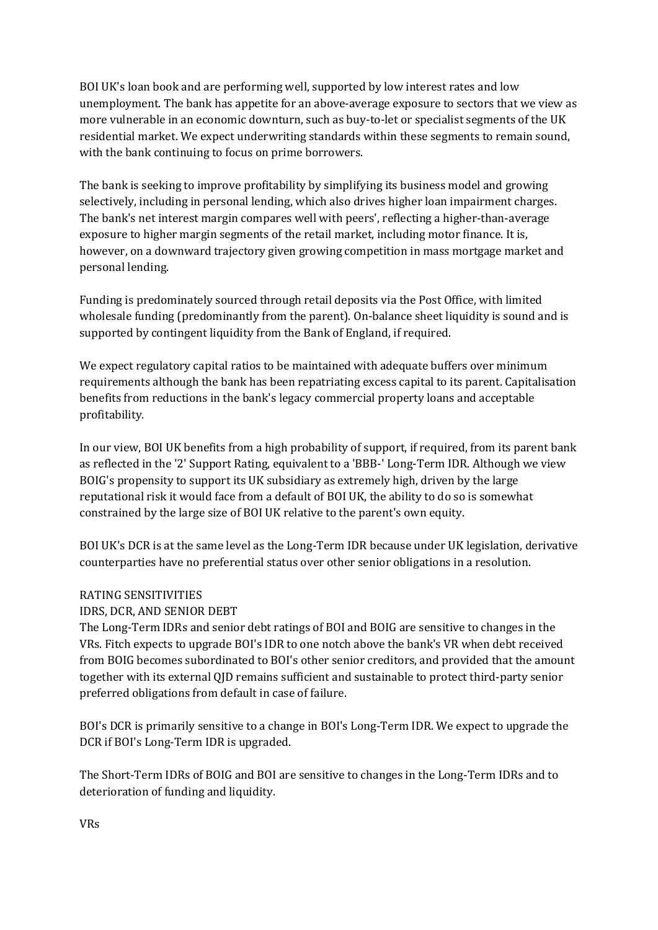BOI UK's loan book and are performing well, supported by low interest rates and low unemployment. The bank has appetite for an above-average exposure to sectors that we view as more vulnerable in an economic downturn, such as buy-to-let or specialist segments of the UK residential market. We expect underwriting standards within these segments to remain sound, with the bank continuing to focus on prime borrowers.

The bank is seeking to improve profitability by simplifying its business model and growing selectively, including in personal lending, which also drives higher loan impairment charges. The bank's net interest margin compares well with peers', reflecting a higher-than-average exposure to higher margin segments of the retail market, including motor finance. It is, however, on a downward trajectory given growing competition in mass mortgage market and personal lending.

Funding is predominately sourced through retail deposits via the Post Office, with limited wholesale funding (predominantly from the parent). On-balance sheet liquidity is sound and is supported by contingent liquidity from the Bank of England, if required.

We expect regulatory capital ratios to be maintained with adequate buffers over minimum requirements although the bank has been repatriating excess capital to its parent. Capitalisation benefits from reductions in the bank's legacy commercial property loans and acceptable profitability.

In our view, BOI UK benefits from a high probability of support, if required, from its parent bank as reflected in the '2' Support Rating, equivalent to a 'BBB-' Long-Term IDR. Although we view BOIG's propensity to support its UK subsidiary as extremely high, driven by the large reputational risk it would face from a default of BOI UK, the ability to do so is somewhat constrained by the large size of BOI UK relative to the parent's own equity.

BOI UK's DCR is at the same level as the Long-Term IDR because under UK legislation, derivative counterparties have no preferential status over other senior obligations in a resolution.

#### RATING SENSITIVITIES

#### IDRS, DCR, AND SENIOR DEBT

The Long-Term IDRs and senior debt ratings of BOI and BOIG are sensitive to changes in the VRs. Fitch expects to upgrade BOI's IDR to one notch above the bank's VR when debt received from BOIG becomes subordinated to BOI's other senior creditors, and provided that the amount together with its external QJD remains sufficient and sustainable to protect third-party senior preferred obligations from default in case of failure.

BOI's DCR is primarily sensitive to a change in BOI's Long-Term IDR. We expect to upgrade the DCR if BOI's Long-Term IDR is upgraded.

The Short-Term IDRs of BOIG and BOI are sensitive to changes in the Long-Term IDRs and to deterioration of funding and liquidity.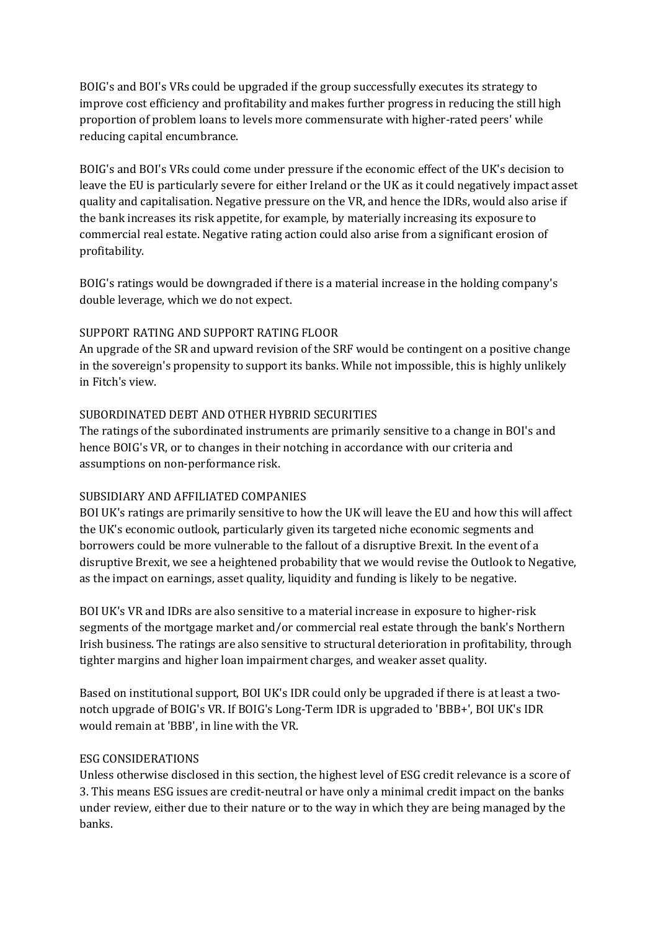BOIG's and BOI's VRs could be upgraded if the group successfully executes its strategy to improve cost efficiency and profitability and makes further progress in reducing the still high proportion of problem loans to levels more commensurate with higher-rated peers' while reducing capital encumbrance.

BOIG's and BOI's VRs could come under pressure if the economic effect of the UK's decision to leave the EU is particularly severe for either Ireland or the UK as it could negatively impact asset quality and capitalisation. Negative pressure on the VR, and hence the IDRs, would also arise if the bank increases its risk appetite, for example, by materially increasing its exposure to commercial real estate. Negative rating action could also arise from a significant erosion of profitability.

BOIG's ratings would be downgraded if there is a material increase in the holding company's double leverage, which we do not expect.

### SUPPORT RATING AND SUPPORT RATING FLOOR

An upgrade of the SR and upward revision of the SRF would be contingent on a positive change in the sovereign's propensity to support its banks. While not impossible, this is highly unlikely in Fitch's view.

### SUBORDINATED DEBT AND OTHER HYBRID SECURITIES

The ratings of the subordinated instruments are primarily sensitive to a change in BOI's and hence BOIG's VR, or to changes in their notching in accordance with our criteria and assumptions on non-performance risk.

## SUBSIDIARY AND AFFILIATED COMPANIES

BOI UK's ratings are primarily sensitive to how the UK will leave the EU and how this will affect the UK's economic outlook, particularly given its targeted niche economic segments and borrowers could be more vulnerable to the fallout of a disruptive Brexit. In the event of a disruptive Brexit, we see a heightened probability that we would revise the Outlook to Negative, as the impact on earnings, asset quality, liquidity and funding is likely to be negative.

BOI UK's VR and IDRs are also sensitive to a material increase in exposure to higher-risk segments of the mortgage market and/or commercial real estate through the bank's Northern Irish business. The ratings are also sensitive to structural deterioration in profitability, through tighter margins and higher loan impairment charges, and weaker asset quality.

Based on institutional support, BOI UK's IDR could only be upgraded if there is at least a twonotch upgrade of BOIG's VR. If BOIG's Long-Term IDR is upgraded to 'BBB+', BOI UK's IDR would remain at 'BBB', in line with the VR.

#### ESG CONSIDERATIONS

Unless otherwise disclosed in this section, the highest level of ESG credit relevance is a score of 3. This means ESG issues are credit-neutral or have only a minimal credit impact on the banks under review, either due to their nature or to the way in which they are being managed by the banks.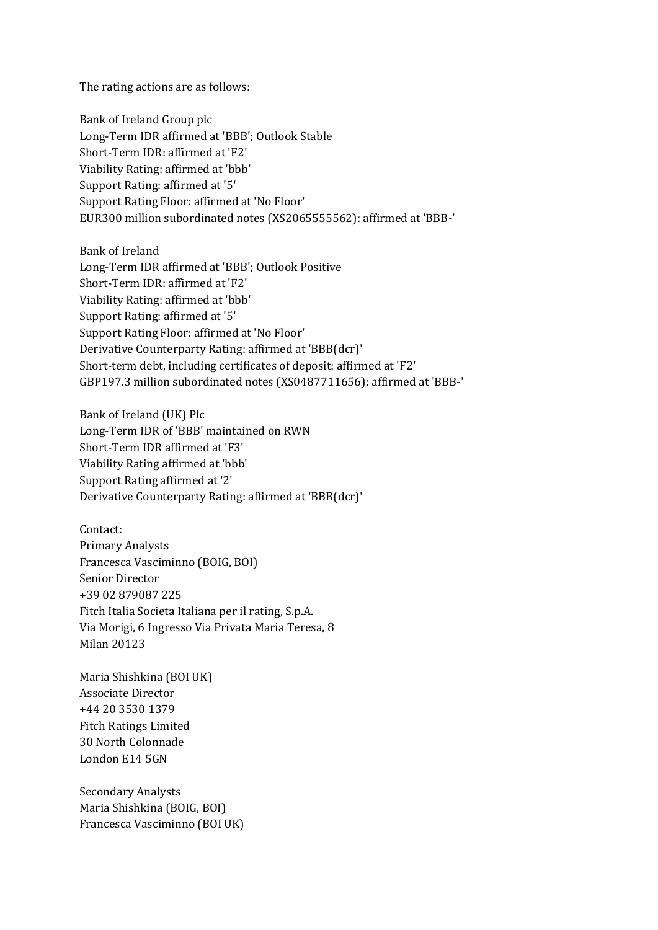The rating actions are as follows:

Bank of Ireland Group plc Long-Term IDR affirmed at 'BBB'; Outlook Stable Short-Term IDR: affirmed at 'F2' Viability Rating: affirmed at 'bbb' Support Rating: affirmed at '5' Support Rating Floor: affirmed at 'No Floor' EUR300 million subordinated notes (XS2065555562): affirmed at 'BBB-'

Bank of Ireland Long-Term IDR affirmed at 'BBB'; Outlook Positive Short-Term IDR: affirmed at 'F2' Viability Rating: affirmed at 'bbb' Support Rating: affirmed at '5' Support Rating Floor: affirmed at 'No Floor' Derivative Counterparty Rating: affirmed at 'BBB(dcr)' Short-term debt, including certificates of deposit: affirmed at 'F2' GBP197.3 million subordinated notes (XS0487711656): affirmed at 'BBB-'

Bank of Ireland (UK) Plc Long-Term IDR of 'BBB' maintained on RWN Short-Term IDR affirmed at 'F3' Viability Rating affirmed at 'bbb' Support Rating affirmed at '2' Derivative Counterparty Rating: affirmed at 'BBB(dcr)'

Contact: Primary Analysts Francesca Vasciminno (BOIG, BOI) Senior Director +39 02 879087 225 Fitch Italia Societa Italiana per il rating, S.p.A. Via Morigi, 6 Ingresso Via Privata Maria Teresa, 8 Milan 20123

Maria Shishkina (BOI UK) Associate Director +44 20 3530 1379 Fitch Ratings Limited 30 North Colonnade London E14 5GN

Secondary Analysts Maria Shishkina (BOIG, BOI) Francesca Vasciminno (BOI UK)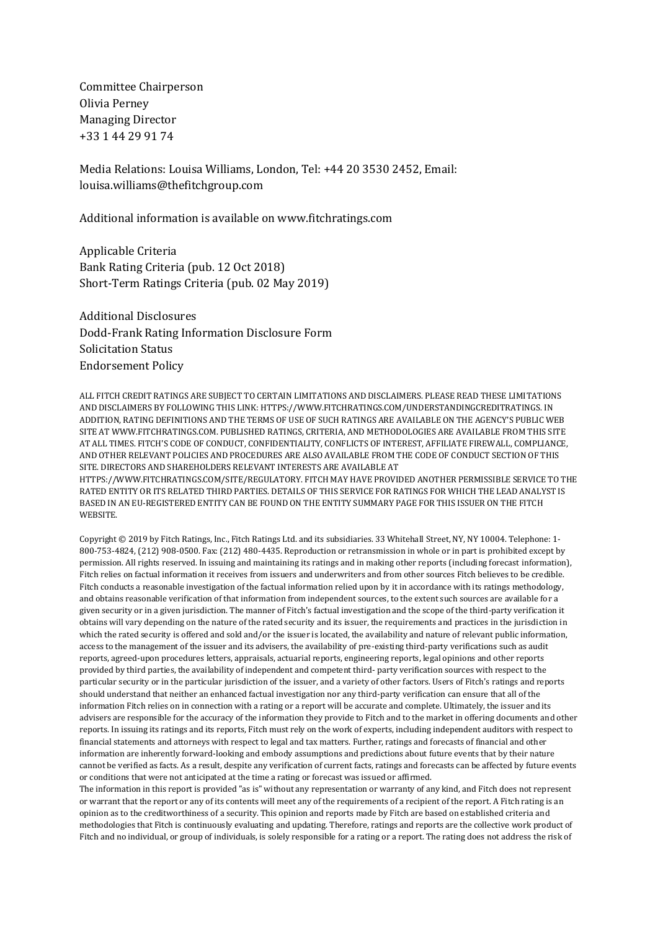Committee Chairperson Olivia Perney Managing Director +33 1 44 29 91 74

Media Relations: Louisa Williams, London, Tel: +44 20 3530 2452, Email: louisa.williams@thefitchgroup.com

Additional information is available on www.fitchratings.com

Applicable Criteria Bank Rating Criteria (pub. 12 Oct 2018) Short-Term Ratings Criteria (pub. 02 May 2019)

Additional Disclosures Dodd-Frank Rating Information Disclosure Form Solicitation Status Endorsement Policy

ALL FITCH CREDIT RATINGS ARE SUBJECT TO CERTAIN LIMITATIONS AND DISCLAIMERS. PLEASE READ THESE LIMITATIONS AND DISCLAIMERS BY FOLLOWING THIS LINK: HTTPS://WWW.FITCHRATINGS.COM/UNDERSTANDINGCREDITRATINGS. IN ADDITION, RATING DEFINITIONS AND THE TERMS OF USE OF SUCH RATINGS ARE AVAILABLE ON THE AGENCY'S PUBLIC WEB SITE AT WWW.FITCHRATINGS.COM. PUBLISHED RATINGS, CRITERIA, AND METHODOLOGIES ARE AVAILABLE FROM THIS SITE AT ALL TIMES. FITCH'S CODE OF CONDUCT, CONFIDENTIALITY, CONFLICTS OF INTEREST, AFFILIATE FIREWALL, COMPLIANCE, AND OTHER RELEVANT POLICIES AND PROCEDURES ARE ALSO AVAILABLE FROM THE CODE OF CONDUCT SECTION OF THIS SITE. DIRECTORS AND SHAREHOLDERS RELEVANT INTERESTS ARE AVAILABLE AT

HTTPS://WWW.FITCHRATINGS.COM/SITE/REGULATORY. FITCH MAY HAVE PROVIDED ANOTHER PERMISSIBLE SERVICE TO THE RATED ENTITY OR ITS RELATED THIRD PARTIES. DETAILS OF THIS SERVICE FOR RATINGS FOR WHICH THE LEAD ANALYST IS BASED IN AN EU-REGISTERED ENTITY CAN BE FOUND ON THE ENTITY SUMMARY PAGE FOR THIS ISSUER ON THE FITCH **WEBSITE** 

Copyright © 2019 by Fitch Ratings, Inc., Fitch Ratings Ltd. and its subsidiaries. 33 Whitehall Street, NY, NY 10004. Telephone: 1- 800-753-4824, (212) 908-0500. Fax: (212) 480-4435. Reproduction or retransmission in whole or in part is prohibited except by permission. All rights reserved. In issuing and maintaining its ratings and in making other reports (including forecast information), Fitch relies on factual information it receives from issuers and underwriters and from other sources Fitch believes to be credible. Fitch conducts a reasonable investigation of the factual information relied upon by it in accordance with its ratings methodology, and obtains reasonable verification of that information from independent sources, to the extent such sources are available for a given security or in a given jurisdiction. The manner of Fitch's factual investigation and the scope of the third-party verification it obtains will vary depending on the nature of the rated security and its issuer, the requirements and practices in the jurisdiction in which the rated security is offered and sold and/or the issuer is located, the availability and nature of relevant public information, access to the management of the issuer and its advisers, the availability of pre-existing third-party verifications such as audit reports, agreed-upon procedures letters, appraisals, actuarial reports, engineering reports, legal opinions and other reports provided by third parties, the availability of independent and competent third- party verification sources with respect to the particular security or in the particular jurisdiction of the issuer, and a variety of other factors. Users of Fitch's ratings and reports should understand that neither an enhanced factual investigation nor any third-party verification can ensure that all of the information Fitch relies on in connection with a rating or a report will be accurate and complete. Ultimately, the issuer and its advisers are responsible for the accuracy of the information they provide to Fitch and to the market in offering documents and other reports. In issuing its ratings and its reports, Fitch must rely on the work of experts, including independent auditors with respect to financial statements and attorneys with respect to legal and tax matters. Further, ratings and forecasts of financial and other information are inherently forward-looking and embody assumptions and predictions about future events that by their nature cannot be verified as facts. As a result, despite any verification of current facts, ratings and forecasts can be affected by future events or conditions that were not anticipated at the time a rating or forecast was issued or affirmed.

The information in this report is provided "as is" without any representation or warranty of any kind, and Fitch does not represent or warrant that the report or any of its contents will meet any of the requirements of a recipient of the report. A Fitch rating is an opinion as to the creditworthiness of a security. This opinion and reports made by Fitch are based on established criteria and methodologies that Fitch is continuously evaluating and updating. Therefore, ratings and reports are the collective work product of Fitch and no individual, or group of individuals, is solely responsible for a rating or a report. The rating does not address the risk of